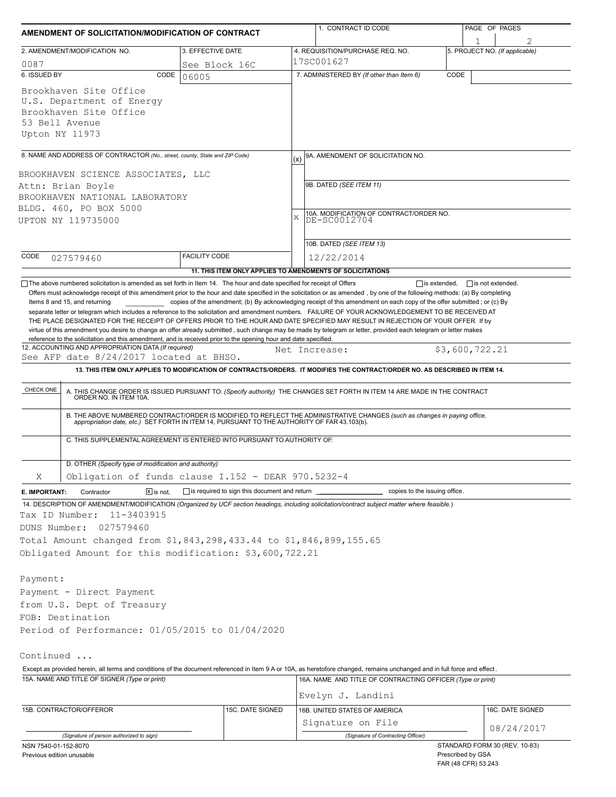| AMENDMENT OF SOLICITATION/MODIFICATION OF CONTRACT                                                                                                                                                                                                                                                                                                                                                                                                                                                                                                                                                                                  |                                                           |               | 1. CONTRACT ID CODE                                                                                                                                                                                                      |                     | PAGE OF PAGES                  |  |
|-------------------------------------------------------------------------------------------------------------------------------------------------------------------------------------------------------------------------------------------------------------------------------------------------------------------------------------------------------------------------------------------------------------------------------------------------------------------------------------------------------------------------------------------------------------------------------------------------------------------------------------|-----------------------------------------------------------|---------------|--------------------------------------------------------------------------------------------------------------------------------------------------------------------------------------------------------------------------|---------------------|--------------------------------|--|
| 2. AMENDMENT/MODIFICATION NO.                                                                                                                                                                                                                                                                                                                                                                                                                                                                                                                                                                                                       | 3. EFFECTIVE DATE                                         |               | 4. REQUISITION/PURCHASE REQ. NO.                                                                                                                                                                                         |                     | 5. PROJECT NO. (If applicable) |  |
| 0087                                                                                                                                                                                                                                                                                                                                                                                                                                                                                                                                                                                                                                | See Block 16C                                             |               | 17SC001627                                                                                                                                                                                                               |                     |                                |  |
| 6. ISSUED BY<br>CODE                                                                                                                                                                                                                                                                                                                                                                                                                                                                                                                                                                                                                | 06005                                                     |               | 7. ADMINISTERED BY (If other than Item 6)                                                                                                                                                                                | CODE                |                                |  |
| Brookhaven Site Office<br>U.S. Department of Energy<br>Brookhaven Site Office<br>53 Bell Avenue<br>Upton NY 11973                                                                                                                                                                                                                                                                                                                                                                                                                                                                                                                   |                                                           |               |                                                                                                                                                                                                                          |                     |                                |  |
| 8. NAME AND ADDRESS OF CONTRACTOR (No., street, county, State and ZIP Code)                                                                                                                                                                                                                                                                                                                                                                                                                                                                                                                                                         |                                                           | (x)           | 9A. AMENDMENT OF SOLICITATION NO.                                                                                                                                                                                        |                     |                                |  |
| BROOKHAVEN SCIENCE ASSOCIATES, LLC                                                                                                                                                                                                                                                                                                                                                                                                                                                                                                                                                                                                  |                                                           |               |                                                                                                                                                                                                                          |                     |                                |  |
| Attn: Brian Boyle                                                                                                                                                                                                                                                                                                                                                                                                                                                                                                                                                                                                                   |                                                           |               | 9B. DATED (SEE ITEM 11)                                                                                                                                                                                                  |                     |                                |  |
| BROOKHAVEN NATIONAL LABORATORY                                                                                                                                                                                                                                                                                                                                                                                                                                                                                                                                                                                                      |                                                           |               |                                                                                                                                                                                                                          |                     |                                |  |
| BLDG. 460, PO BOX 5000                                                                                                                                                                                                                                                                                                                                                                                                                                                                                                                                                                                                              |                                                           |               |                                                                                                                                                                                                                          |                     |                                |  |
| UPTON NY 119735000                                                                                                                                                                                                                                                                                                                                                                                                                                                                                                                                                                                                                  |                                                           | $\bar{X}$     | 10A. MODIFICATION OF CONTRACT/ORDER NO.<br>DE-SC0012704                                                                                                                                                                  |                     |                                |  |
|                                                                                                                                                                                                                                                                                                                                                                                                                                                                                                                                                                                                                                     |                                                           |               |                                                                                                                                                                                                                          |                     |                                |  |
|                                                                                                                                                                                                                                                                                                                                                                                                                                                                                                                                                                                                                                     |                                                           |               | 10B. DATED (SEE ITEM 13)                                                                                                                                                                                                 |                     |                                |  |
| CODE<br>027579460                                                                                                                                                                                                                                                                                                                                                                                                                                                                                                                                                                                                                   | <b>FACILITY CODE</b>                                      |               | 12/22/2014                                                                                                                                                                                                               |                     |                                |  |
| The above numbered solicitation is amended as set forth in Item 14. The hour and date specified for receipt of Offers                                                                                                                                                                                                                                                                                                                                                                                                                                                                                                               | 11. THIS ITEM ONLY APPLIES TO AMENDMENTS OF SOLICITATIONS |               |                                                                                                                                                                                                                          | $\Box$ is extended, | $\Box$ is not extended.        |  |
| separate letter or telegram which includes a reference to the solicitation and amendment numbers. FAILURE OF YOUR ACKNOWLEDGEMENT TO BE RECEIVED AT<br>THE PLACE DESIGNATED FOR THE RECEIPT OF OFFERS PRIOR TO THE HOUR AND DATE SPECIFIED MAY RESULT IN REJECTION OF YOUR OFFER If by<br>virtue of this amendment you desire to change an offer already submitted, such change may be made by telegram or letter, provided each telegram or letter makes<br>reference to the solicitation and this amendment, and is received prior to the opening hour and date specified.<br>12. ACCOUNTING AND APPROPRIATION DATA (If required) |                                                           | Net Increase: |                                                                                                                                                                                                                          |                     | \$3,600,722.21                 |  |
| See AFP date 8/24/2017 located at BHSO.                                                                                                                                                                                                                                                                                                                                                                                                                                                                                                                                                                                             |                                                           |               |                                                                                                                                                                                                                          |                     |                                |  |
|                                                                                                                                                                                                                                                                                                                                                                                                                                                                                                                                                                                                                                     |                                                           |               | 13. THIS ITEM ONLY APPLIES TO MODIFICATION OF CONTRACTS/ORDERS. IT MODIFIES THE CONTRACT/ORDER NO. AS DESCRIBED IN ITEM 14.                                                                                              |                     |                                |  |
| CHECK ONE                                                                                                                                                                                                                                                                                                                                                                                                                                                                                                                                                                                                                           |                                                           |               | A. THIS CHANGE ORDER IS ISSUED PURSUANT TO: (Specify authority) THE CHANGES SET FORTH IN ITEM 14 ARE MADE IN THE CONTRACT ORDER NO. IN ITEM 10A.                                                                         |                     |                                |  |
|                                                                                                                                                                                                                                                                                                                                                                                                                                                                                                                                                                                                                                     |                                                           |               | B. THE ABOVE NUMBERED CONTRACT/ORDER IS MODIFIED TO REFLECT THE ADMINISTRATIVE CHANGES (such as changes in paying office,<br>appropriation date, etc.) SET FORTH IN ITEM 14, PURSUANT TO THE AUTHORITY OF FAR 43.103(b). |                     |                                |  |
| C. THIS SUPPLEMENTAL AGREEMENT IS ENTERED INTO PURSUANT TO AUTHORITY OF:                                                                                                                                                                                                                                                                                                                                                                                                                                                                                                                                                            |                                                           |               |                                                                                                                                                                                                                          |                     |                                |  |
| D. OTHER (Specify type of modification and authority)                                                                                                                                                                                                                                                                                                                                                                                                                                                                                                                                                                               |                                                           |               |                                                                                                                                                                                                                          |                     |                                |  |
| Χ<br>Obligation of funds clause I.152 - DEAR 970.5232-4                                                                                                                                                                                                                                                                                                                                                                                                                                                                                                                                                                             |                                                           |               |                                                                                                                                                                                                                          |                     |                                |  |
| $X$ is not.<br>E. IMPORTANT:<br>Contractor                                                                                                                                                                                                                                                                                                                                                                                                                                                                                                                                                                                          | is required to sign this document and return _            |               | copies to the issuing office.                                                                                                                                                                                            |                     |                                |  |
| 14. DESCRIPTION OF AMENDMENT/MODIFICATION (Organized by UCF section headings, including solicitation/contract subject matter where feasible.)<br>11-3403915<br>Tax ID Number:                                                                                                                                                                                                                                                                                                                                                                                                                                                       |                                                           |               |                                                                                                                                                                                                                          |                     |                                |  |
| DUNS Number:<br>027579460                                                                                                                                                                                                                                                                                                                                                                                                                                                                                                                                                                                                           |                                                           |               |                                                                                                                                                                                                                          |                     |                                |  |
| Total Amount changed from \$1,843,298,433.44 to \$1,846,899,155.65                                                                                                                                                                                                                                                                                                                                                                                                                                                                                                                                                                  |                                                           |               |                                                                                                                                                                                                                          |                     |                                |  |
| Obligated Amount for this modification: \$3,600,722.21                                                                                                                                                                                                                                                                                                                                                                                                                                                                                                                                                                              |                                                           |               |                                                                                                                                                                                                                          |                     |                                |  |
|                                                                                                                                                                                                                                                                                                                                                                                                                                                                                                                                                                                                                                     |                                                           |               |                                                                                                                                                                                                                          |                     |                                |  |
| Payment:                                                                                                                                                                                                                                                                                                                                                                                                                                                                                                                                                                                                                            |                                                           |               |                                                                                                                                                                                                                          |                     |                                |  |
| Payment - Direct Payment                                                                                                                                                                                                                                                                                                                                                                                                                                                                                                                                                                                                            |                                                           |               |                                                                                                                                                                                                                          |                     |                                |  |
| from U.S. Dept of Treasury                                                                                                                                                                                                                                                                                                                                                                                                                                                                                                                                                                                                          |                                                           |               |                                                                                                                                                                                                                          |                     |                                |  |
| FOB: Destination                                                                                                                                                                                                                                                                                                                                                                                                                                                                                                                                                                                                                    |                                                           |               |                                                                                                                                                                                                                          |                     |                                |  |
| Period of Performance: 01/05/2015 to 01/04/2020                                                                                                                                                                                                                                                                                                                                                                                                                                                                                                                                                                                     |                                                           |               |                                                                                                                                                                                                                          |                     |                                |  |
| Continued                                                                                                                                                                                                                                                                                                                                                                                                                                                                                                                                                                                                                           |                                                           |               |                                                                                                                                                                                                                          |                     |                                |  |
| Except as provided herein, all terms and conditions of the document referenced in Item 9 A or 10A, as heretofore changed, remains unchanged and in full force and effect.                                                                                                                                                                                                                                                                                                                                                                                                                                                           |                                                           |               |                                                                                                                                                                                                                          |                     |                                |  |
| 15A. NAME AND TITLE OF SIGNER (Type or print)                                                                                                                                                                                                                                                                                                                                                                                                                                                                                                                                                                                       |                                                           |               | 16A. NAME AND TITLE OF CONTRACTING OFFICER (Type or print)                                                                                                                                                               |                     |                                |  |
|                                                                                                                                                                                                                                                                                                                                                                                                                                                                                                                                                                                                                                     |                                                           |               | Evelyn J. Landini                                                                                                                                                                                                        |                     |                                |  |
| 15B. CONTRACTOR/OFFEROR                                                                                                                                                                                                                                                                                                                                                                                                                                                                                                                                                                                                             | 15C. DATE SIGNED                                          |               | 16B. UNITED STATES OF AMERICA                                                                                                                                                                                            |                     | 16C. DATE SIGNED               |  |
|                                                                                                                                                                                                                                                                                                                                                                                                                                                                                                                                                                                                                                     |                                                           |               | Signature on File                                                                                                                                                                                                        |                     |                                |  |
| (Signature of person authorized to sign)                                                                                                                                                                                                                                                                                                                                                                                                                                                                                                                                                                                            |                                                           |               | (Signature of Contracting Officer)                                                                                                                                                                                       |                     | 08/24/2017                     |  |
| NSN 7540-01-152-8070                                                                                                                                                                                                                                                                                                                                                                                                                                                                                                                                                                                                                |                                                           |               |                                                                                                                                                                                                                          |                     | STANDARD FORM 30 (REV. 10-83)  |  |
| Previous edition unusable                                                                                                                                                                                                                                                                                                                                                                                                                                                                                                                                                                                                           |                                                           |               |                                                                                                                                                                                                                          | Prescribed by GSA   |                                |  |